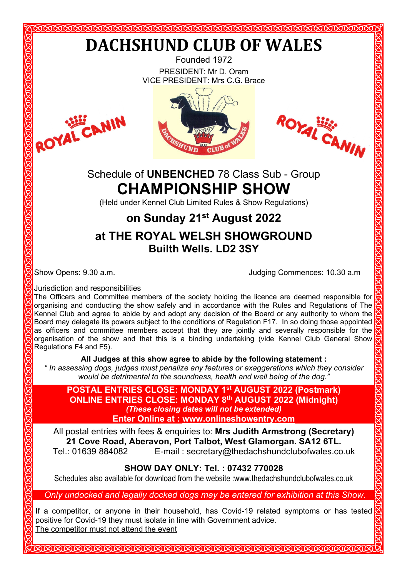VICE PRESIDENT: Mrs C.G. Brace







# Schedule of **UNBENCHED** 78 Class Sub - Group **CHAMPIONSHIP SHOW**

(Held under Kennel Club Limited Rules & Show Regulations)

# **on Sunday 21st August 2022 at THE ROYAL WELSH SHOWGROUND Builth Wells. LD2 3SY**

Show Opens: 9.30 a.m. Judging Commences: 10.30 a.m

Jurisdiction and responsibilities

The Officers and Committee members of the society holding the licence are deemed responsible for organising and conducting the show safely and in accordance with the Rules and Regulations of The Kennel Club and agree to abide by and adopt any decision of the Board or any authority to whom the Board may delegate its powers subject to the conditions of Regulation F17. In so doing those appointed as officers and committee members accept that they are jointly and severally responsible for the organisation of the show and that this is a binding undertaking (vide Kennel Club General Show Regulations F4 and F5).

**All Judges at this show agree to abide by the following statement :**

*" In assessing dogs, judges must penalize any features or exaggerations which they consider would be detrimental to the soundness, health and well being of the dog."*

**POSTAL ENTRIES CLOSE: MONDAY 1st AUGUST 2022 (Postmark) ONLINE ENTRIES CLOSE: MONDAY 8th AUGUST 2022 (Midnight)** *(These closing dates will not be extended)* **Enter Online at : [www.onlineshowentry.com](http://www.onlineshowentry.com/)**

All postal entries with fees & enquiries to: **Mrs Judith Armstrong (Secretary) 21 Cove Road, Aberavon, Port Talbot, West Glamorgan. SA12 6TL.** E-mail: secretary@thedachshundclubofwales.co.uk

### **SHOW DAY ONLY: Tel. : 07432 770028**

Schedules also available for download from the website :www.thedachshundclubofwales.co.uk

*Only undocked and legally docked dogs may be entered for exhibition at this Show.*

If a competitor, or anyone in their household, has Covid-19 related symptoms or has tested positive for Covid-19 they must isolate in line with Government advice. The competitor must not attend the event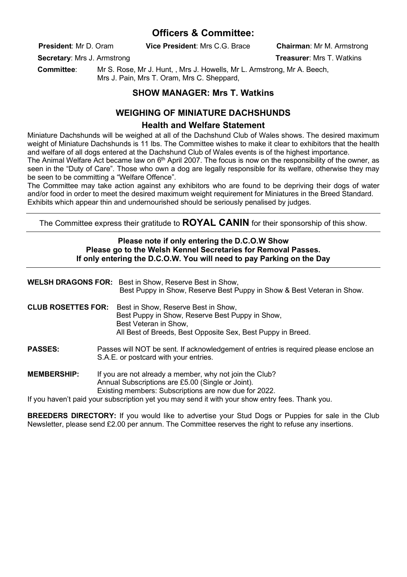#### **Officers & Committee:**

**President**: Mr D. Oram **Vice President**: Mrs C.G. Brace **Chairman**: Mr M. Armstrong

**Secretary:** Mrs J. Armstrong **Treasurer: Mrs T. Watkins Secretary: Mrs T. Watkins** 

 **Committee**: Mr S. Rose, Mr J. Hunt, , Mrs J. Howells, Mr L. Armstrong, Mr A. Beech, Mrs J. Pain, Mrs T. Oram, Mrs C. Sheppard.

#### **SHOW MANAGER: Mrs T. Watkins**

#### **WEIGHING OF MINIATURE DACHSHUNDS**

#### **Health and Welfare Statement**

Miniature Dachshunds will be weighed at all of the Dachshund Club of Wales shows. The desired maximum weight of Miniature Dachshunds is 11 lbs. The Committee wishes to make it clear to exhibitors that the health and welfare of all dogs entered at the Dachshund Club of Wales events is of the highest importance.

The Animal Welfare Act became law on 6<sup>th</sup> April 2007. The focus is now on the responsibility of the owner, as seen in the "Duty of Care". Those who own a dog are legally responsible for its welfare, otherwise they may be seen to be committing a "Welfare Offence".

The Committee may take action against any exhibitors who are found to be depriving their dogs of water and/or food in order to meet the desired maximum weight requirement for Miniatures in the Breed Standard. Exhibits which appear thin and undernourished should be seriously penalised by judges.

The Committee express their gratitude to **ROYAL CANIN** for their sponsorship of this show.

#### **Please note if only entering the D.C.O.W Show Please go to the Welsh Kennel Secretaries for Removal Passes. If only entering the D.C.O.W. You will need to pay Parking on the Day**

|                           | <b>WELSH DRAGONS FOR:</b> Best in Show, Reserve Best in Show,<br>Best Puppy in Show, Reserve Best Puppy in Show & Best Veteran in Show.                                        |
|---------------------------|--------------------------------------------------------------------------------------------------------------------------------------------------------------------------------|
| <b>CLUB ROSETTES FOR:</b> | Best in Show, Reserve Best in Show,<br>Best Puppy in Show, Reserve Best Puppy in Show,<br>Best Veteran in Show.<br>All Best of Breeds, Best Opposite Sex, Best Puppy in Breed. |
| <b>PASSES:</b>            | Passes will NOT be sent. If acknowledgement of entries is required please enclose an<br>S.A.E. or postcard with your entries.                                                  |
| <b>MEMBERSHIP:</b>        | If you are not already a member, why not join the Club?<br>Annual Subscriptions are £5.00 (Single or Joint).<br>Existing members: Subscriptions are now due for 2022.          |

If you haven't paid your subscription yet you may send it with your show entry fees. Thank you.

**BREEDERS DIRECTORY:** If you would like to advertise your Stud Dogs or Puppies for sale in the Club Newsletter, please send £2.00 per annum. The Committee reserves the right to refuse any insertions.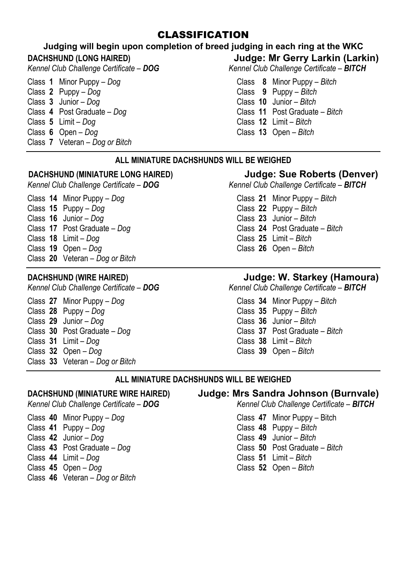#### CLASSIFICATION

#### **Judging will begin upon completion of breed judging in each ring at the WKC**

- Class **1** Minor Puppy *Dog* Class **8** Minor Puppy *Bitch*
- Class **2** Puppy *Dog* Class **3** Junior *Dog*
- 
- Class **4** Post Graduate *Dog* Class **11** Post Graduate *Bitch*
- Class **6** Open *Dog*
- Class **7** Veteran *Dog or Bitch*

**DACHSHUND (LONG HAIRED)** *Judge: Mr Gerry Larkin (Larkin) Kennel Club Challenge Certificate - BITCH Kennel Club Challenge Certificate – BITCH* 

- 
- 
- Class **3** Junior *Dog* Class **10** Junior *Bitch*
- 
- Class **5** Limit *Dog* Class **12** Limit *Bitch*
	-

#### **ALL MINIATURE DACHSHUNDS WILL BE WEIGHED**

# **DACHSHUND (MINIATURE LONG HAIRED) Judge: Sue Roberts (Denver)** *Kennel Club Challenge Certificate – BITCH*

Class **14** Minor Puppy – *Dog* Class **21** Minor Puppy – *Bitch* Class **15** Puppy – *Dog* Class **16** Junior – *Dog* Class **23** Junior – *Bitch* Class **18** Limit – *Dog* Class **19** Open – *Dog* Class **20** Veteran – *Dog or Bitch*

- Class **27** Minor Puppy *Dog* Class **34** Minor Puppy *Bitch* Class **28** Puppy – *Dog* Class **35** Puppy – *Bitch* Class **29** Junior – *Dog* Class **36** Junior – *Bitch* Class **30** Post Graduate – *Dog* Class **37** Post Graduate – *Bitch* Class **31** Limit – *Dog* Class **38** Limit – *Bitch*
- Class **33** Veteran *Dog or Bitch*

- Class **40** Minor Puppy *Dog* Class **47** Minor Puppy Bitch
- 
- 
- 
- 
- 

# Class **43** Post Graduate – *Dog* Class **50** Post Graduate – *Bitch*

- Class **44** Limit *Dog* Class **45** Open *Dog*
- Class **46** Veteran *Dog or Bitch*

*Kennel Club Challenge Certificate – DOG Kennel Club Challenge Certificate – BITCH*

- 
- 
- 
- 

# **DACHSHUND (WIRE HAIRED) Judge: W. Starkey (Hamoura)**

*Kennel Club Challenge Certificate – DOG Kennel Club Challenge Certificate – BITCH*

- 
- 
- 
- 
- 
- Class **32** Open *Dog* Class **39** Open *Bitch*

#### **ALL MINIATURE DACHSHUNDS WILL BE WEIGHED**

# **DACHSHUND (MINIATURE WIRE HAIRED) Judge: Mrs Sandra Johnson (Burnvale)**

*Kennel Club Challenge Certificate – BITCH* 

- 
- Class **48** Puppy *Bitch*<br>Class **49** Junior *Bitch*
- Class **42** Junior *Dog* Class **49** Junior *Bitch*
	-
	-
	- Class **45** Open *Dog* Class **52** Open *Bitch*

Class **24** Post Graduate – *Bitch* Class **25** Limit – *Bitch* Class **19** Open – *Dog* Class **26** Open – *Bitch*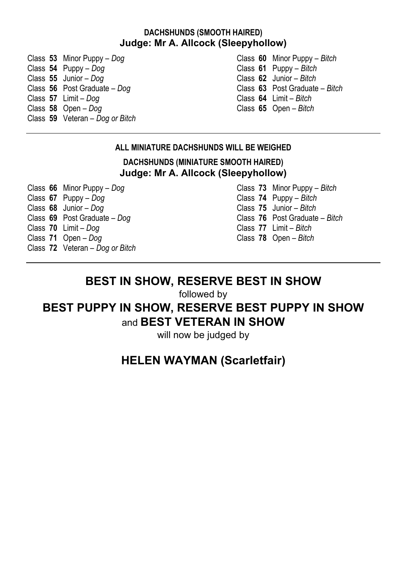#### **DACHSHUNDS (SMOOTH HAIRED) Judge: Mr A. Allcock (Sleepyhollow)**

Class **53** Minor Puppy – *Dog* Class **60** Minor Puppy – *Bitch* Class **55** Junior – *Dog* Class **62** Junior – *Bitch* Class **56** Post Graduate – *Dog* Class **63** Post Graduate – *Bitch* Class **57** Limit – *Dog* Class **58** Open – *Dog* Class **59** Veteran – *Dog or Bitch*

Class **61** Puppy – *Bitch*<br>Class **62** Junior – *Bitch* Class **58** Open – *Dog* Class **65** Open – *Bitch*

#### **ALL MINIATURE DACHSHUNDS WILL BE WEIGHED**

**DACHSHUNDS (MINIATURE SMOOTH HAIRED) Judge: Mr A. Allcock (Sleepyhollow)** 

Class **66** Minor Puppy – *Dog* Class **73** Minor Puppy – *Bitch* Class **67** Puppy – *Dog* Class **74** Puppy – *Bitch* Class **68** Junior – *Dog* Class **75** Junior – *Bitch* Class **69** Post Graduate – *Dog* Class **70** Limit – *Dog* Class **70** Limit – *Dog* Class **77** Limit – *Bitch* Class **72** Veteran – *Dog or Bitch*

Class **71** Open – *Dog* Class **78** Open – *Bitch*

## **BEST IN SHOW, RESERVE BEST IN SHOW**

followed by

## **BEST PUPPY IN SHOW, RESERVE BEST PUPPY IN SHOW**  and **BEST VETERAN IN SHOW**

will now be judged by

## **HELEN WAYMAN (Scarletfair)**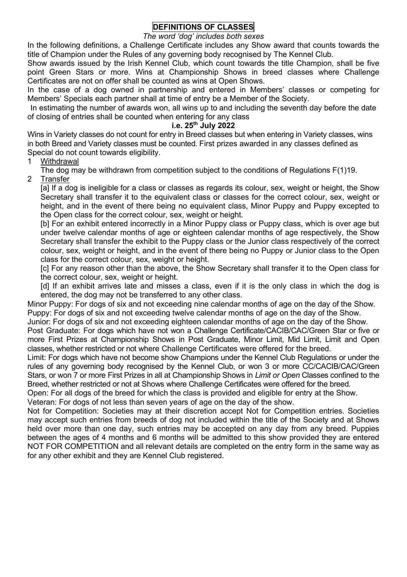#### **DEFINITIONS OF CLASSES**

#### *The word 'dog' includes both sexes*

In the following definitions, a Challenge Certificate includes any Show award that counts towards the title of Champion under the Rules of any governing body recognised by The Kennel Club.

Show awards issued by the Irish Kennel Club, which count towards the title Champion, shall be five point Green Stars or more. Wins at Championship Shows in breed classes where Challenge Certificates are not on offer shall be counted as wins at Open Shows.

In the case of a dog owned in partnership and entered in Members' classes or competing for Members' Specials each partner shall at time of entry be a Member of the Society.

In estimating the number of awards won, all wins up to and including the seventh day before the date of closing of entries shall be counted when entering for any class

#### **i.e. 25th July 2022**

Wins in Variety classes do not count for entry in Breed classes but when entering in Variety classes, wins in both Breed and Variety classes must be counted. First prizes awarded in any classes defined as Special do not count towards eligibility.

1 Withdrawal

The dog may be withdrawn from competition subject to the conditions of Regulations  $F(1)19$ .

2 Transfer

[a] If a dog is ineligible for a class or classes as regards its colour, sex, weight or height, the Show Secretary shall transfer it to the equivalent class or classes for the correct colour, sex, weight or height, and in the event of there being no equivalent class. Minor Puppy and Puppy excepted to the Open class for the correct colour, sex, weight or height.

[b] For an exhibit entered incorrectly in a Minor Puppy class or Puppy class, which is over age but under twelve calendar months of age or eighteen calendar months of age respectively, the Show Secretary shall transfer the exhibit to the Puppy class or the Junior class respectively of the correct colour, sex, weight or height, and in the event of there being no Puppy or Junior class to the Open class for the correct colour, sex, weight or height.

[c] For any reason other than the above, the Show Secretary shall transfer it to the Open class for the correct colour, sex, weight or height.

[d] If an exhibit arrives late and misses a class, even if it is the only class in which the dog is entered, the dog may not be transferred to any other class.

Minor Puppy: For dogs of six and not exceeding nine calendar months of age on the day of the Show. Puppy: For dogs of six and not exceeding twelve calendar months of age on the day of the Show.

Junior: For dogs of six and not exceeding eighteen calendar months of age on the day of the Show.

Post Graduate: For dogs which have not won a Challenge Certificate/CACIB/CAC/Green Star or five or more First Prizes at Championship Shows in Post Graduate, Minor Limit, Mid Limit, Limit and Open classes, whether restricted or not where Challenge Certificates were offered for the breed.

Limit: For dogs which have not become show Champions under the Kennel Club Regulations or under the rules of any governing body recognised by the Kennel Club, or won 3 or more CC/CACIB/CAC/Green Stars, or won 7 or more First Prizes in all at Championship Shows in *Limit or Open* Classes confined to the Breed, whether restricted or not at Shows where Challenge Certificates were offered for the breed.

Open: For all dogs of the breed for which the class is provided and eligible for entry at the Show.

Veteran: For dogs of not less than seven years of age on the day of the show.

Not for Competition: Societies may at their discretion accept Not for Competition entries. Societies may accept such entries from breeds of dog not included within the title of the Society and at Shows held over more than one day, such entries may be accepted on any day from any breed. Puppies between the ages of 4 months and 6 months will be admitted to this show provided they are entered NOT FOR COMPETITION and all relevant details are completed on the entry form in the same way as for any other exhibit and they are Kennel Club registered.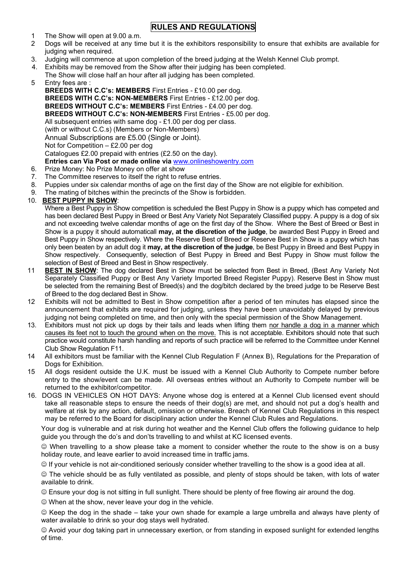#### **RULES AND REGULATIONS**

- 1 The Show will open at 9.00 a.m.<br>2 Dogs will be received at any time
- 2 Dogs will be received at any time but it is the exhibitors responsibility to ensure that exhibits are available for judging when required.
- 3. Judging will commence at upon completion of the breed judging at the Welsh Kennel Club prompt.
- 4. Exhibits may be removed from the Show after their judging has been completed.
- The Show will close half an hour after all judging has been completed.
- 5 Entry fees are :

 **BREEDS WITH C.C's: MEMBERS** First Entries - £10.00 per dog. **BREEDS WITH C.C's: NON-MEMBERS** First Entries - £12.00 per dog. **BREEDS WITHOUT C.C's: MEMBERS** First Entries - £4.00 per dog. **BREEDS WITHOUT C.C's: NON-MEMBERS** First Entries - £5.00 per dog. All subsequent entries with same dog - £1.00 per dog per class. (with or without C.C.s) (Members or Non-Members) Annual Subscriptions are £5.00 (Single or Joint). Not for Competition – £2.00 per dog Catalogues £2.00 prepaid with entries (£2.50 on the day). **Entries can Via Post or made online via** [www.onlineshowentry.com](http://www.onlineshowentry.com/)

- 6. Prize Money: No Prize Money on offer at show
- 7. The Committee reserves to itself the right to refuse entries.<br>8. Puppies under six calendar months of age on the first day of
- 8. Puppies under six calendar months of age on the first day of the Show are not eligible for exhibition.<br>9. The mating of bitches within the precincts of the Show is forbidden
- The mating of bitches within the precincts of the Show is forbidden.

#### 10. **BEST PUPPY IN SHOW**:

Where a Best Puppy in Show competition is scheduled the Best Puppy in Show is a puppy which has competed and has been declared Best Puppy in Breed or Best Any Variety Not Separately Classified puppy. A puppy is a dog of six and not exceeding twelve calendar months of age on the first day of the Show. Where the Best of Breed or Best in Show is a puppy it should automaticall **may, at the discretion of the judge**, be awarded Best Puppy in Breed and Best Puppy in Show respectively. Where the Reserve Best of Breed or Reserve Best in Show is a puppy which has only been beaten by an adult dog it **may, at the discretion of the judge**, be Best Puppy in Breed and Best Puppy in Show respectively. Consequently, selection of Best Puppy in Breed and Best Puppy in Show must follow the selection of Best of Breed and Best in Show respectively.

- 11 **BEST IN SHOW**: The dog declared Best in Show must be selected from Best in Breed, (Best Any Variety Not Separately Classified Puppy or Best Any Variety Imported Breed Register Puppy). Reserve Best in Show must be selected from the remaining Best of Breed(s) and the dog/bitch declared by the breed judge to be Reserve Best of Breed to the dog declared Best in Show.
- 12 Exhibits will not be admitted to Best in Show competition after a period of ten minutes has elapsed since the announcement that exhibits are required for judging, unless they have been unavoidably delayed by previous judging not being completed on time, and then only with the special permission of the Show Management.
- 13. Exhibitors must not pick up dogs by their tails and leads when lifting them nor handle a dog in a manner which causes its feet not to touch the ground when on the move. This is not acceptable. Exhibitors should note that such practice would constitute harsh handling and reports of such practice will be referred to the Committee under Kennel Club Show Regulation F11.
- 14 All exhibitors must be familiar with the Kennel Club Regulation F (Annex B), Regulations for the Preparation of Dogs for Exhibition
- 15 All dogs resident outside the U.K. must be issued with a Kennel Club Authority to Compete number before entry to the show/event can be made. All overseas entries without an Authority to Compete number will be returned to the exhibitor/competitor.
- 16. DOGS IN VEHICLES ON HOT DAYS: Anyone whose dog is entered at a Kennel Club licensed event should take all reasonable steps to ensure the needs of their dog(s) are met, and should not put a dog's health and welfare at risk by any action, default, omission or otherwise. Breach of Kennel Club Regulations in this respect may be referred to the Board for disciplinary action under the Kennel Club Rules and Regulations.

Your dog is vulnerable and at risk during hot weather and the Kennel Club offers the following guidance to help guide you through the do's and don'ts travelling to and whilst at KC licensed events.

 When travelling to a show please take a moment to consider whether the route to the show is on a busy holiday route, and leave earlier to avoid increased time in traffic jams.

 $\circledcirc$  If your vehicle is not air-conditioned seriously consider whether travelling to the show is a good idea at all.

 The vehicle should be as fully ventilated as possible, and plenty of stops should be taken, with lots of water available to drink.

Ensure your dog is not sitting in full sunlight. There should be plenty of free flowing air around the dog.

When at the show, never leave your dog in the vehicle.

 $\odot$  Keep the dog in the shade – take your own shade for example a large umbrella and always have plenty of water available to drink so your dog stays well hydrated.

 Avoid your dog taking part in unnecessary exertion, or from standing in exposed sunlight for extended lengths of time.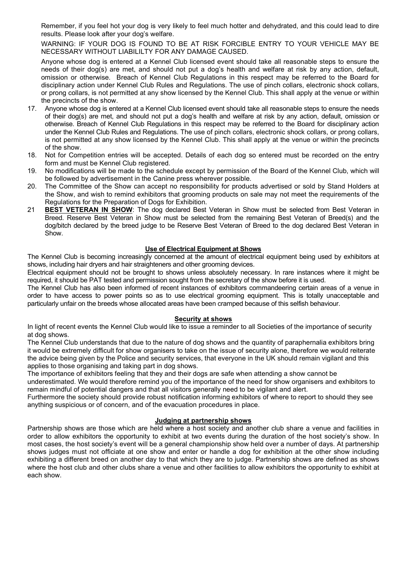Remember, if you feel hot your dog is very likely to feel much hotter and dehydrated, and this could lead to dire results. Please look after your dog's welfare.

WARNING: IF YOUR DOG IS FOUND TO BE AT RISK FORCIBLE ENTRY TO YOUR VEHICLE MAY BE NECESSARY WITHOUT LIABILILTY FOR ANY DAMAGE CAUSED.

Anyone whose dog is entered at a Kennel Club licensed event should take all reasonable steps to ensure the needs of their dog(s) are met, and should not put a dog's health and welfare at risk by any action, default, omission or otherwise. Breach of Kennel Club Regulations in this respect may be referred to the Board for disciplinary action under Kennel Club Rules and Regulations. The use of pinch collars, electronic shock collars, or prong collars, is not permitted at any show licensed by the Kennel Club. This shall apply at the venue or within the precincts of the show.

- 17. Anyone whose dog is entered at a Kennel Club licensed event should take all reasonable steps to ensure the needs of their dog(s) are met, and should not put a dog's health and welfare at risk by any action, default, omission or otherwise. Breach of Kennel Club Regulations in this respect may be referred to the Board for disciplinary action under the Kennel Club Rules and Regulations. The use of pinch collars, electronic shock collars, or prong collars, is not permitted at any show licensed by the Kennel Club. This shall apply at the venue or within the precincts of the show.
- 18. Not for Competition entries will be accepted. Details of each dog so entered must be recorded on the entry form and must be Kennel Club registered.
- 19. No modifications will be made to the schedule except by permission of the Board of the Kennel Club, which will be followed by advertisement in the Canine press wherever possible.
- 20. The Committee of the Show can accept no responsibility for products advertised or sold by Stand Holders at the Show, and wish to remind exhibitors that grooming products on sale may not meet the requirements of the Regulations for the Preparation of Dogs for Exhibition.
- 21 **BEST VETERAN IN SHOW**: The dog declared Best Veteran in Show must be selected from Best Veteran in Breed. Reserve Best Veteran in Show must be selected from the remaining Best Veteran of Breed(s) and the dog/bitch declared by the breed judge to be Reserve Best Veteran of Breed to the dog declared Best Veteran in Show.

#### **Use of Electrical Equipment at Shows**

The Kennel Club is becoming increasingly concerned at the amount of electrical equipment being used by exhibitors at shows, including hair dryers and hair straighteners and other grooming devices.

Electrical equipment should not be brought to shows unless absolutely necessary. In rare instances where it might be required, it should be PAT tested and permission sought from the secretary of the show before it is used.

The Kennel Club has also been informed of recent instances of exhibitors commandeering certain areas of a venue in order to have access to power points so as to use electrical grooming equipment. This is totally unacceptable and particularly unfair on the breeds whose allocated areas have been cramped because of this selfish behaviour.

#### **Security at shows**

In light of recent events the Kennel Club would like to issue a reminder to all Societies of the importance of security at dog shows.

The Kennel Club understands that due to the nature of dog shows and the quantity of paraphernalia exhibitors bring it would be extremely difficult for show organisers to take on the issue of security alone, therefore we would reiterate the advice being given by the Police and security services, that everyone in the UK should remain vigilant and this applies to those organising and taking part in dog shows.

The importance of exhibitors feeling that they and their dogs are safe when attending a show cannot be underestimated. We would therefore remind you of the importance of the need for show organisers and exhibitors to

remain mindful of potential dangers and that all visitors generally need to be vigilant and alert.

Furthermore the society should provide robust notification informing exhibitors of where to report to should they see anything suspicious or of concern, and of the evacuation procedures in place.

#### **Judging at partnership shows**

Partnership shows are those which are held where a host society and another club share a venue and facilities in order to allow exhibitors the opportunity to exhibit at two events during the duration of the host society's show. In most cases, the host society's event will be a general championship show held over a number of days. At partnership shows judges must not officiate at one show and enter or handle a dog for exhibition at the other show including exhibiting a different breed on another day to that which they are to judge. Partnership shows are defined as shows where the host club and other clubs share a venue and other facilities to allow exhibitors the opportunity to exhibit at each show.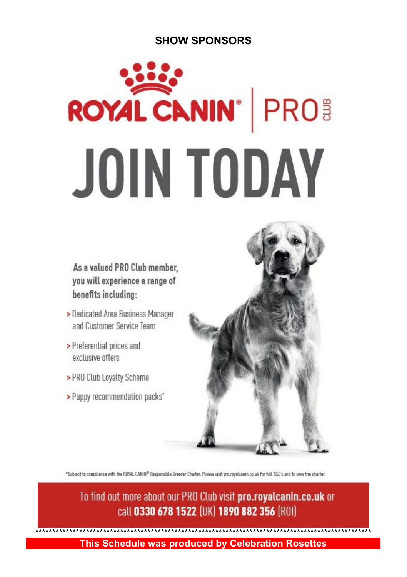## **SHOW SPONSORS**

# **ROYAL CANIN' PRO JOIN TODAY**

As a valued PRO Club member, you will experience a range of benefits including:

- > Dedicated Area Business Manager and Customer Service Team
- > Preferential prices and exclusive offers
- > PRO Club Loyalty Scheme
- > Puppy recommendation packs"



"Subject to compliance with the ROYAL CANIN<sup>0</sup> Responsible Breeder Charter. Pleese visit pro.royalcanin.co.uk for full T&C's and to view the charter.

To find out more about our PRO Club visit pro.royalcanin.co.uk or call 0330 678 1522 (UK) 1890 882 356 (ROI)

\*\*\*\*\*\*\*\*\*\*\*\*\*\*\*\*\*\*\*\*\*\*\*\*\*\*\*\*\*\*\*\*\*\*\*\*\*\*\*\*\*\*\*\*\*\*\*\*\*\*\*\*\*\*\*\*\*\*\*\*\*\*\*\*\*\*\*\*\*\*\*\*\*\*\*\*\*\*\*\*\*\*\*\*\*\*\*\*\*\*\*\*\*\*\*\*\*\*\* **This Schedule was produced by Celebration Rosettes**